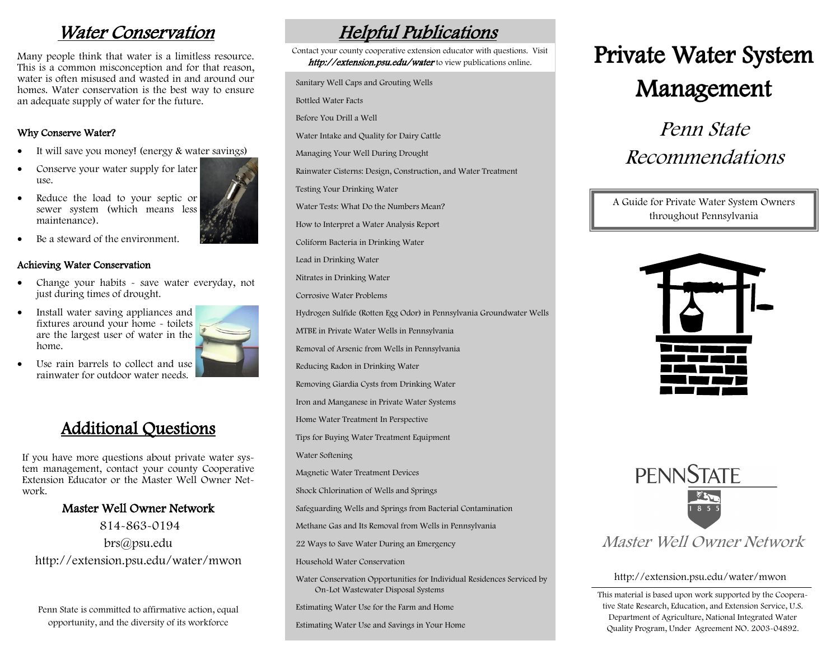# Water Conservation

Many people think that water is a limitless resource. This is a common misconception and for that reason, water is often misused and wasted in and around our homes. Water conservation is the best way to ensure an adequate supply of water for the future.

## Why Conserve Water?

- It will save you money! (energy & water savings)
- Conserve your water supply for later use.
- Reduce the load to your septic or sewer system (which means less maintenance).
- Be a steward of the environment.

#### Achieving Water Conservation

- Change your habits save water everyday, not just during times of drought.
- Install water saving appliances and fixtures around your home - toilets are the largest user of water in the home.



 Use rain barrels to collect and use rainwater for outdoor water needs.

# Additional Questions

If you have more questions about private water system management, contact your county Cooperative Extension Educator or the Master Well Owner Network.

## Master Well Owner Network

814-863-0194 brs@psu.edu http://extension.psu.edu/water/mwon

Penn State is committed to affirmative action, equal opportunity, and the diversity of its workforce

# Helpful Publications

Sanitary Well Caps and Grouting Wells Contact your county cooperative extension educator with questions. Visit http://extension.psu.edu/water to view publications online.

Bottled Water Facts

Before You Drill a Well

Water Intake and Quality for Dairy Cattle

Managing Your Well During Drought

Rainwater Cisterns: Design, Construction, and Water Treatment

Testing Your Drinking Water

Water Tests: What Do the Numbers Mean?

How to Interpret a Water Analysis Report

Coliform Bacteria in Drinking Water

Lead in Drinking Water

Nitrates in Drinking Water

Corrosive Water Problems

Hydrogen Sulfide (Rotten Egg Odor) in Pennsylvania Groundwater Wells

MTBE in Private Water Wells in Pennsylvania

Removal of Arsenic from Wells in Pennsylvania

Reducing Radon in Drinking Water

Removing Giardia Cysts from Drinking Water

Iron and Manganese in Private Water Systems

Home Water Treatment In Perspective

Tips for Buying Water Treatment Equipment

Water Softening

Magnetic Water Treatment Devices

Shock Chlorination of Wells and Springs

Safeguarding Wells and Springs from Bacterial Contamination

Methane Gas and Its Removal from Wells in Pennsylvania

22 Ways to Save Water During an Emergency

Household Water Conservation

Water Conservation Opportunities for Individual Residences Serviced by On-Lot Wastewater Disposal Systems

Estimating Water Use for the Farm and Home

Estimating Water Use and Savings in Your Home

# Private Water System Management

Penn State Recommendations

## A Guide for Private Water System Owners throughout Pennsylvania





## Master Well Owner Network

### http://extension.psu.edu/water/mwon

This material is based upon work supported by the Cooperative State Research, Education, and Extension Service, U.S. Department of Agriculture, National Integrated Water Quality Program, Under Agreement NO. 2003-04892.